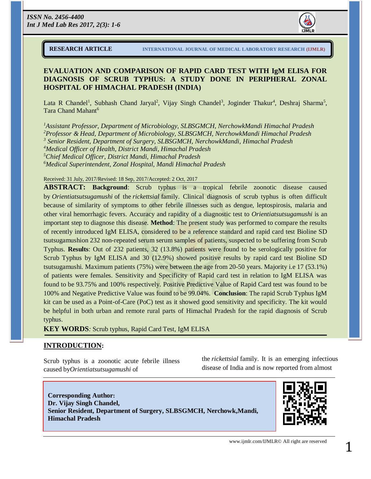

### **EVALUATION AND COMPARISON OF RAPID CARD TEST WITH IgM ELISA FOR DIAGNOSIS OF SCRUB TYPHUS: A STUDY DONE IN PERIPHERAL ZONAL HOSPITAL OF HIMACHAL PRADESH (INDIA)**

Lata R Chandel<sup>1</sup>, Subhash Chand Jaryal<sup>2</sup>, Vijay Singh Chandel<sup>3</sup>, Joginder Thakur<sup>4</sup>, Deshraj Sharma<sup>5</sup>, Tara Chand Mahant<sup>6</sup>

*Assistant Professor, Department of Microbiology, SLBSGMCH, NerchowkMandi Himachal Pradesh Professor & Head, Department of Microbiology, SLBSGMCH, NerchowkMandi Himachal Pradesh Senior Resident, Department of Surgery, SLBSGMCH, NerchowkMandi, Himachal Pradesh Medical Officer of Health, District Mandi, Himachal Pradesh Chief Medical Officer, District Mandi, Himachal Pradesh Medical Superintendent, Zonal Hospital, Mandi Himachal Pradesh*

#### Received: 31 July, 2017/Revised: 18 Sep, 2017/Accepted: 2 Oct, 2017

**ABSTRACT: Background**: Scrub typhus is a tropical febrile zoonotic disease caused by *Orientiatsutsugamushi* of the *rickettsial* family. Clinical diagnosis of scrub typhus is often difficult because of similarity of symptoms to other febrile illnesses such as dengue, leptospirosis, malaria and other viral hemorrhagic fevers. Accuracy and rapidity of a diagnostic test to *Orientiatsutsugamushi* is an important step to diagnose this disease. **Method**: The present study was performed to compare the results of recently introduced IgM ELISA, considered to be a reference standard and rapid card test Bioline SD tsutsugamushion 232 non-repeated serum serum samples of patients, suspected to be suffering from Scrub Typhus. **Results**: Out of 232 patients, 32 (13.8%) patients were found to be serologically positive for Scrub Typhus by IgM ELISA and 30 (12.9%) showed positive results by rapid card test Bioline SD tsutsugamushi. Maximum patients (75%) were between the age from 20-50 years. Majority i.e 17 (53.1%) of patients were females. Sensitivity and Specificity of Rapid card test in relation to IgM ELISA was found to be 93.75% and 100% respectively. Positive Predictive Value of Rapid Card test was found to be 100% and Negative Predictive Value was found to be 99.04%. **Conclusion**: The rapid Scrub Typhus IgM kit can be used as a Point-of-Care (PoC) test as it showed good sensitivity and specificity. The kit would be helpful in both urban and remote rural parts of Himachal Pradesh for the rapid diagnosis of Scrub typhus.

**KEY WORDS***:* Scrub typhus, Rapid Card Test, IgM ELISA

#### **INTRODUCTION:**

Scrub typhus is a zoonotic acute febrile illness caused by*Orientiatsutsugamushi* of

the *rickettsial* family. It is an emerging infectious disease of India and is now reported from almost



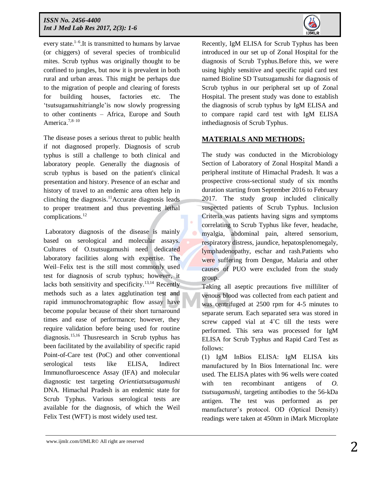

every state.<sup>1-[6](https://www.ncbi.nlm.nih.gov/pmc/articles/PMC5198317/#b6)</sup>. It is transmitted to humans by larvae (or chiggers) of several species of trombiculid mites. Scrub typhus was originally thought to be confined to jungles, but now it is prevalent in both rural and urban areas. This might be perhaps due to the migration of people and clearing of forests for building houses, factories etc. The 'tsutsugamushitriangle'is now slowly progressing to other continents – Africa, Europe and South America.<sup>[7,8–](https://www.ncbi.nlm.nih.gov/pmc/articles/PMC5198317/#b8)[10](https://www.ncbi.nlm.nih.gov/pmc/articles/PMC5198317/#b10)</sup>

The disease poses a serious threat to public health if not diagnosed properly. Diagnosis of scrub typhus is still a challenge to both clinical and laboratory people. Generally the diagnosis of scrub typhus is based on the patient's clinical presentation and history. Presence of an eschar and history of travel to an endemic area often help in clinching the diagnosis.<sup>11</sup>Accurate diagnosis leads to proper treatment and thus preventing lethal complications. 12

Laboratory diagnosis of the disease is mainly based on serological and molecular assays. Cultures of O.tsutsugamushi need dedicated laboratory facilities along with expertise. The Weil–Felix test is the still most commonly used test for diagnosis of scrub typhus; however, it lacks both sensitivity and specificity.<sup>13,14</sup> Recently methods such as a latex agglutination test and rapid immunochromatographic flow assay have become popular because of their short turnaround times and ease of performance; however, they require validation before being used for routine diagnosis. 15,16 Thusresearch in Scrub typhus has been facilitated by the availability of specific rapid Point-of-Care test (PoC) and other conventional serological tests like ELISA, Indirect Immunofluroescence Assay (IFA) and molecular diagnostic test targeting *Orientiatsutsugamushi* DNA. Himachal Pradesh is an endemic state for Scrub Typhus. Various serological tests are available for the diagnosis, of which the Weil Felix Test (WFT) is most widely used test.

Recently, IgM ELISA for Scrub Typhus has been introduced in our set up of Zonal Hospital for the diagnosis of Scrub Typhus.Before this, we were using highly sensitive and specific rapid card test named Bioline SD Tsutsugamushi for diagnosis of Scrub typhus in our peripheral set up of Zonal Hospital. The present study was done to establish the diagnosis of scrub typhus by IgM ELISA and to compare rapid card test with IgM ELISA inthediagnosis of Scrub Typhus.

## **MATERIALS AND METHODS:**

The study was conducted in the Microbiology Section of Laboratory of Zonal Hospital Mandi a peripheral institute of Himachal Pradesh. It was a prospective cross-sectional study of six months duration starting from September 2016 to February 2017. The study group included clinically suspected patients of Scrub Typhus. Inclusion Criteria was patients having signs and symptoms correlating to Scrub Typhus like fever, headache, myalgia, abdominal pain, altered sensorium, respiratory distress, jaundice, hepatosplenomegaly, lymphadenopathy, eschar and rash.Patients who were suffering from Dengue, Malaria and other causes of PUO were excluded from the study group.

Taking all aseptic precautions five milliliter of venous blood was collected from each patient and was centrifuged at 2500 rpm for 4-5 minutes to separate serum. Each separated sera was stored in screw capped vial at 4°C till the tests were performed. This sera was processed for IgM ELISA for Scrub Typhus and Rapid Card Test as follows:

(1) IgM InBios ELISA: IgM ELISA kits manufactured by In Bios International Inc. were used. The ELISA plates with 96 wells were coated with ten recombinant antigens of *O. tsutsugamushi,* targeting antibodies to the 56-kDa antigen. The test was performed as per manufacturer's protocol. OD (Optical Density) readings were taken at 450nm in iMark Microplate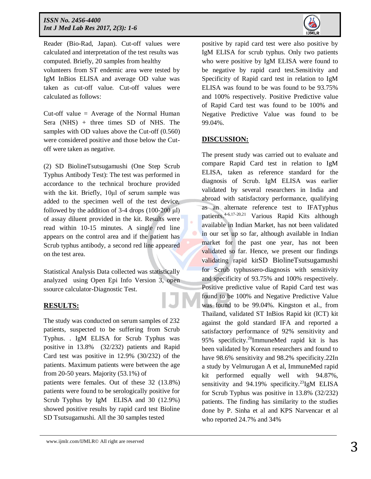

Reader (Bio-Rad, Japan). Cut-off values were calculated and interpretation of the test results was computed. Briefly, 20 samples from healthy volunteers from ST endemic area were tested by IgM InBios ELISA and average OD value was taken as cut-off value. Cut-off values were calculated as follows:

Cut-off value  $=$  Average of the Normal Human Sera (NHS) + three times SD of NHS. The samples with OD values above the Cut-off (0.560) were considered positive and those below the Cutoff were taken as negative.

(2) SD BiolineTsutsugamushi (One Step Scrub Typhus Antibody Test): The test was performed in accordance to the technical brochure provided with the kit. Briefly, 10μl of serum sample was added to the specimen well of the test device, followed by the addition of  $3-4$  drops  $(100-200 \mu l)$ of assay diluent provided in the kit. Results were read within 10-15 minutes. A single red line appears on the control area and if the patient has Scrub typhus antibody, a second red line appeared on the test area.

Statistical Analysis Data collected was statistically analyzed using Open Epi Info Version 3, open ssource calculator-Diagnostic Test.

# **RESULTS:**

The study was conducted on serum samples of 232 patients, suspected to be suffering from Scrub Typhus. . IgM ELISA for Scrub Typhus was positive in 13.8% (32/232) patients and Rapid Card test was positive in 12.9% (30/232) of the patients. Maximum patients were between the age from 20-50 years. Majority (53.1%) of

patients were females. Out of these 32 (13.8%) patients were found to be serologically positive for Scrub Typhus by IgM ELISA and 30 (12.9%) showed positive results by rapid card test Bioline SD Tsutsugamushi. All the 30 samples tested

positive by rapid card test were also positive by IgM ELISA for scrub typhus. Only two patients who were positive by IgM ELISA were found to be negative by rapid card test.Sensitivity and Specificity of Rapid card test in relation to IgM ELISA was found to be was found to be 93.75% and 100% respectively. Positive Predictive value of Rapid Card test was found to be 100% and Negative Predictive Value was found to be 99.04%.

## **DISCUSSION:**

The present study was carried out to evaluate and compare Rapid Card test in relation to IgM ELISA, taken as reference standard for the diagnosis of Scrub. IgM ELISA was earlier validated by several researchers in India and abroad with satisfactory performance, qualifying as an alternate reference test to IFATyphus patients.4-6,17-20,21 Various Rapid Kits although available in Indian Market, has not been validated in our set up so far, although available in Indian market for the past one year, has not been validated so far. Hence, we present our findings validating rapid kitSD BiolineTsutsugamushi for Scrub typhussero-diagnosis with sensitivity and specificity of 93.75% and 100% respectively. Positive predictive value of Rapid Card test was found to be 100% and Negative Predictive Value was found to be 99.04%. Kingston et al., from Thailand, validated ST InBios Rapid kit (ICT) kit against the gold standard IFA and reported a satisfactory performance of 92% sensitivity and 95% specificity.<sup>20</sup>ImmuneMed rapid kit is has been validated by Korean researchers and found to have 98.6% sensitivity and 98.2% specificity.22In a study by Velmurugan A et al, ImmuneMed rapid kit performed equally well with 94.87%, sensitivity and 94.19% specificity.<sup>23</sup>IgM ELISA for Scrub Typhus was positive in 13.8% (32/232) patients. The finding has similarity to the studies done by P. Sinha et al and KPS Narvencar et al who reported 24.7% and 34%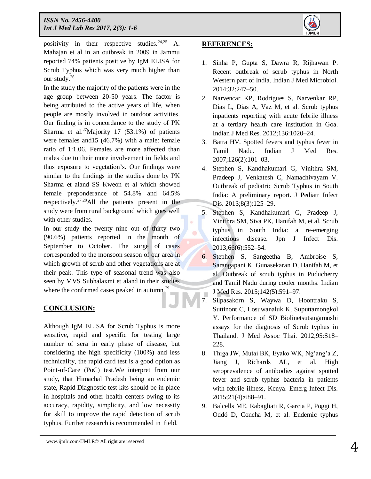

positivity in their respective studies.  $24,25$  A. Mahajan et al in an outbreak in 2009 in Jammu reported 74% patients positive by IgM ELISA for Scrub Typhus which was very much higher than our study.<sup>26</sup>

In the study the majority of the patients were in the age group between 20-50 years. The factor is being attributed to the active years of life, when people are mostly involved in outdoor activities. Our finding is in concordance to the study of PK Sharma et al.<sup>27</sup>Majority 17 (53.1%) of patients were females and15 (46.7%) with a male: female ratio of 1:1.06. Females are more affected than males due to their more involvement in fields and thus exposure to vegetation's. Our findings were similar to the findings in the studies done by PK Sharma et aland SS Kweon et al which showed female preponderance of 54.8% and 64.5% respectively.<sup>27,28</sup>All the patients present in the study were from rural background which goes well with other studies.

In our study the twenty nine out of thirty two (90.6%) patients reported in the month of September to October. The surge of cases corresponded to the monsoon season of our area in which growth of scrub and other vegetations are at their peak. This type of seasonal trend was also seen by MVS Subhalaxmi et aland in their studies where the confirmed cases peaked in autumn.<sup>29</sup>

# **CONCLUSION:**

Although IgM ELISA for Scrub Typhus is more sensitive, rapid and specific for testing large number of sera in early phase of disease, but considering the high specificity (100%) and less technicality, the rapid card test is a good option as Point-of-Care (PoC) test.We interpret from our study, that Himachal Pradesh being an endemic state, Rapid Diagnostic test kits should be in place in hospitals and other health centers owing to its accuracy, rapidity, simplicity, and low necessity for skill to improve the rapid detection of scrub typhus. Further research is recommended in field.

### **REFERENCES:**

- 1. Sinha P, Gupta S, Dawra R, Rijhawan P. Recent outbreak of scrub typhus in North Western part of India. Indian J Med Microbiol. 2014;32:247–50.
- 2. Narvencar KP, Rodrigues S, Narvenkar RP, Dias L, Dias A, Vaz M, et al. Scrub typhus inpatients reporting with acute febrile illness at a tertiary health care institution in Goa. Indian J Med Res. 2012;136:1020–24.
- 3. Batra HV. Spotted fevers and typhus fever in Tamil Nadu. Indian J Med Res. 2007;126(2):101–03.
- 4. Stephen S, Kandhakumari G, Vinithra SM, Pradeep J, Venkatesh C, Namachivayam V. Outbreak of pediatric Scrub Typhus in South India: A preliminary report. J Pediatr Infect Dis. 2013;8(3):125–29.
- 5. Stephen S, Kandhakumari G, Pradeep J, Vinithra SM, Siva PK, Hanifah M, et al. Scrub typhus in South India: a re-emerging infectious disease. Jpn J Infect Dis. 2013;66(6):552–54.
- 6. Stephen S, Sangeetha B, Ambroise S, Sarangapani K, Gunasekaran D, Hanifah M, et al. Outbreak of scrub typhus in Puducherry and Tamil Nadu during cooler months. Indian J Med Res. 2015;142(5):591–97.
- 7. Silpasakorn S, Waywa D, Hoontraku S, Suttinont C, Losuwanaluk K, Suputtamongkol Y. Performance of SD Biolinetsutsugamushi assays for the diagnosis of Scrub typhus in Thailand. J Med Assoc Thai. 2012;95:S18– 228.
- 8. Thiga JW, Mutai BK, Eyako WK, Ng'ang'a Z, Jiang J, Richards AL, et al. High seroprevalence of antibodies against spotted fever and scrub typhus bacteria in patients with febrile illness, Kenya. Emerg Infect Dis. 2015;21(4):688–91.
- 9. Balcells ME, Rabagliati R, Garcia P, Poggi H, Oddó D, Concha M, et al. Endemic typhus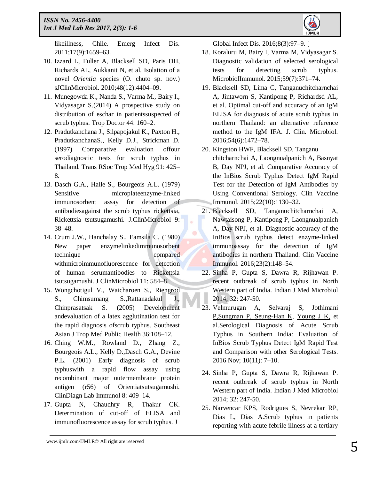

likeillness, Chile. Emerg Infect Dis. 2011;17(9):1659–63.

- 10. Izzard L, Fuller A, Blacksell SD, Paris DH, Richards AL, Aukkanit N, et al. Isolation of a novel *Orientia* species (O. chuto sp. nov.) sJClinMicrobiol. 2010;48(12):4404–09.
- 11. Munegowda K., Nanda S., Varma M., Bairy I., Vidyasagar S.(2014) A prospective study on distribution of eschar in patientssuspected of scrub typhus. Trop Doctor 44: 160–2.
- 12. Pradutkanchana J., Silpapojakul K., Paxton H., PradutkanchanaS., Kelly D.J., Strickman D. (1997) Comparative evaluation offour serodiagnostic tests for scrub typhus in Thailand. Trans RSoc Trop Med Hyg 91: 425– 8.
- 13. Dasch G.A., Halle S., Bourgeois A.L. (1979) Sensitive microplateenzyme-linked immunosorbent assay for detection of antibodiesagainst the scrub typhus rickettsia, Rickettsia tsutsugamushi. J.ClinMicrobiol 9: 38–48.
- 14. Crum J.W., Hanchalay S., Eamsila C. (1980) New paper enzymelinkedimmunosorbent technique compared withmicroimmunofluorescence for detection of human serumantibodies to Rickettsia tsutsugamushi. J ClinMicrobiol 11: 584–8.
- 15. Wongchotigul V., Waicharoen S., Riengrod S., Chimsumang S.,Rattanadakul J., Chinprasatsak S. (2005) Development andevaluation of a latex agglutination test for the rapid diagnosis ofscrub typhus. Southeast Asian J Trop Med Public Health 36:108–12.
- 16. Ching W.M., Rowland D., Zhang Z., Bourgeois A.L., Kelly D.,Dasch G.A., Devine P.L. (2001) Early diagnosis of scrub typhuswith a rapid flow assay using recombinant major outermembrane protein antigen (r56) of Orientiatsutsugamushi. ClinDiagn Lab Immunol 8: 409–14.
- 17. Gupta N, Chaudhry R, Thakur CK. Determination of cut-off of ELISA and immunofluorescence assay for scrub typhus. J

Global Infect Dis. 2016;8(3):97–9. [

- 18. Koraluru M, Bairy I, Varma M, Vidyasagar S. Diagnostic validation of selected serological tests for detecting scrub typhus. MicrobiolImmunol. 2015;59(7):371–74.
- 19. Blacksell SD, Lima C, Tanganuchitcharnchai A, Jintaworn S, Kantipong P, Richardsd AL, et al. Optimal cut-off and accuracy of an IgM ELISA for diagnosis of acute scrub typhus in northern Thailand: an alternative reference method to the IgM IFA. J. Clin. Microbiol. 2016;54(6):1472–78.
- 20. Kingston HWF, Blacksell SD, Tanganu chitcharnchai A, Laongnualpanich A, Basnyat B, Day NPJ, et al. Comparative Accuracy of the InBios Scrub Typhus Detect IgM Rapid Test for the Detection of IgM Antibodies by Using Conventional Serology. Clin Vaccine Immunol. 2015;22(10):1130–32.
- 21. Blacksell SD, Tanganuchitcharnchai A, Nawtaisong P, Kantipong P, Laongnualpanich A, Day NPJ, et al. Diagnostic accuracy of the InBios scrub typhus detect enzyme-linked immunoassay for the detection of IgM antibodies in northern Thailand. Clin Vaccine Immunol. 2016;23(2):148–54.
- 22. Sinha P, Gupta S, Dawra R, Rijhawan P. recent outbreak of scrub typhus in North Western part of India. Indian J Med Microbiol 2014; 32: 247-50.
- 23. Velmurugan A, Selvaraj S, Jothimani P,Sungman P, Seung-Han K, Young J K, et al.Serological Diagnosis of Acute Scrub Typhus in Southern India: Evaluation of InBios Scrub Typhus Detect IgM Rapid Test and Comparison with other Serological Tests. 2016 Nov; 10(11): 7–10.
- 24. Sinha P, Gupta S, Dawra R, Rijhawan P. recent outbreak of scrub typhus in North Western part of India. Indian J Med Microbiol 2014; 32: 247-50.
- 25. Narvencar KPS, Rodrigues S, Nevrekar RP, Dias L, Dias A.Scrub typhus in patients reporting with acute febrile illness at a tertiary